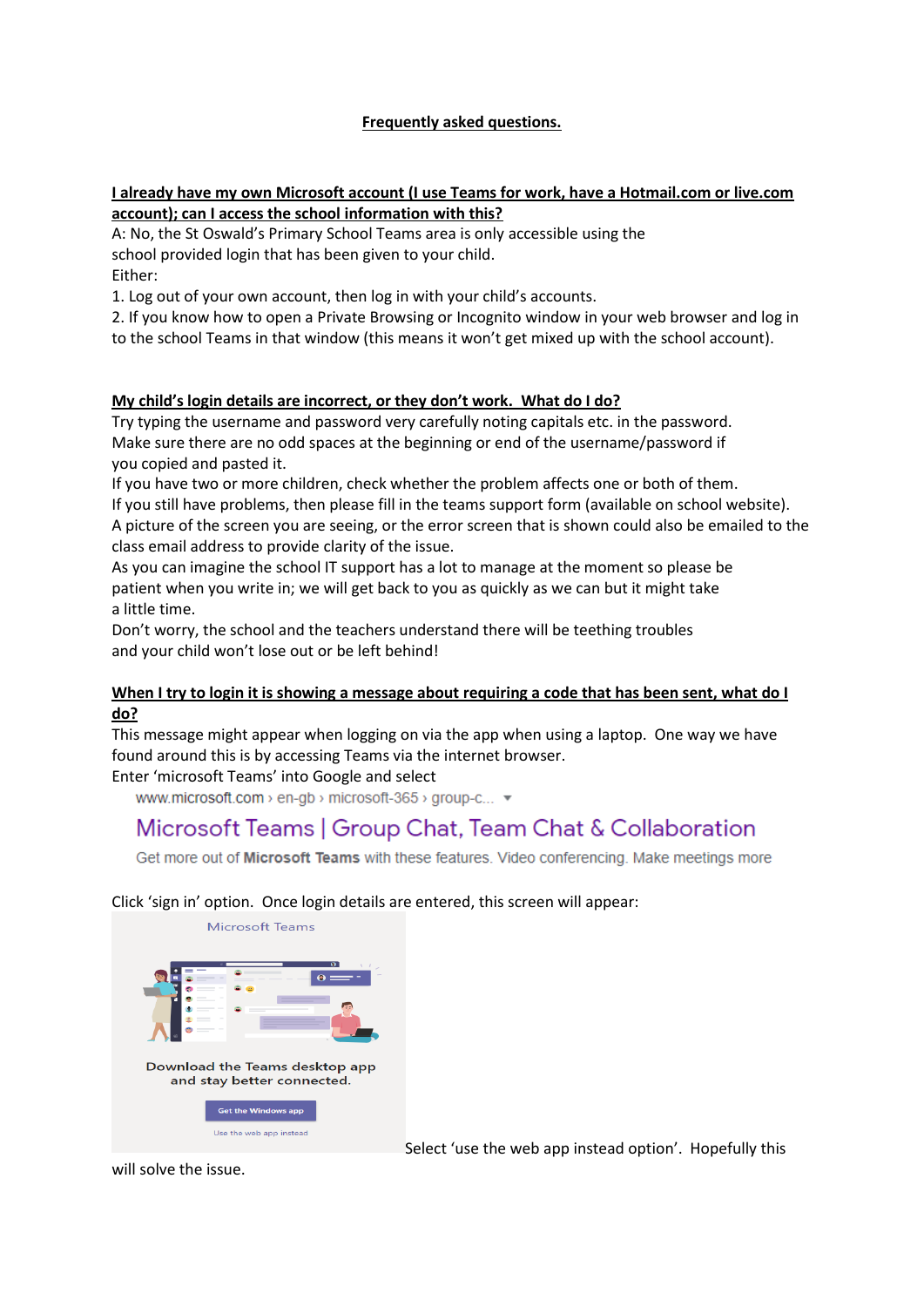## **Frequently asked questions.**

#### **I already have my own Microsoft account (I use Teams for work, have a Hotmail.com or live.com account); can I access the school information with this?**

A: No, the St Oswald's Primary School Teams area is only accessible using the school provided login that has been given to your child. Either:

1. Log out of your own account, then log in with your child's accounts.

2. If you know how to open a Private Browsing or Incognito window in your web browser and log in to the school Teams in that window (this means it won't get mixed up with the school account).

## **My child's login details are incorrect, or they don't work. What do I do?**

Try typing the username and password very carefully noting capitals etc. in the password. Make sure there are no odd spaces at the beginning or end of the username/password if you copied and pasted it.

If you have two or more children, check whether the problem affects one or both of them. If you still have problems, then please fill in the teams support form (available on school website). A picture of the screen you are seeing, or the error screen that is shown could also be emailed to the class email address to provide clarity of the issue.

As you can imagine the school IT support has a lot to manage at the moment so please be patient when you write in; we will get back to you as quickly as we can but it might take a little time.

Don't worry, the school and the teachers understand there will be teething troubles and your child won't lose out or be left behind!

### **When I try to login it is showing a message about requiring a code that has been sent, what do I do?**

This message might appear when logging on via the app when using a laptop. One way we have found around this is by accessing Teams via the internet browser.

### Enter 'microsoft Teams' into Google and select

www.microsoft.com > en-gb > microsoft-365 > group-c... ▼

# Microsoft Teams | Group Chat, Team Chat & Collaboration

Get more out of Microsoft Teams with these features. Video conferencing. Make meetings more

### Click 'sign in' option. Once login details are entered, this screen will appear:



Select 'use the web app instead option'. Hopefully this

will solve the issue.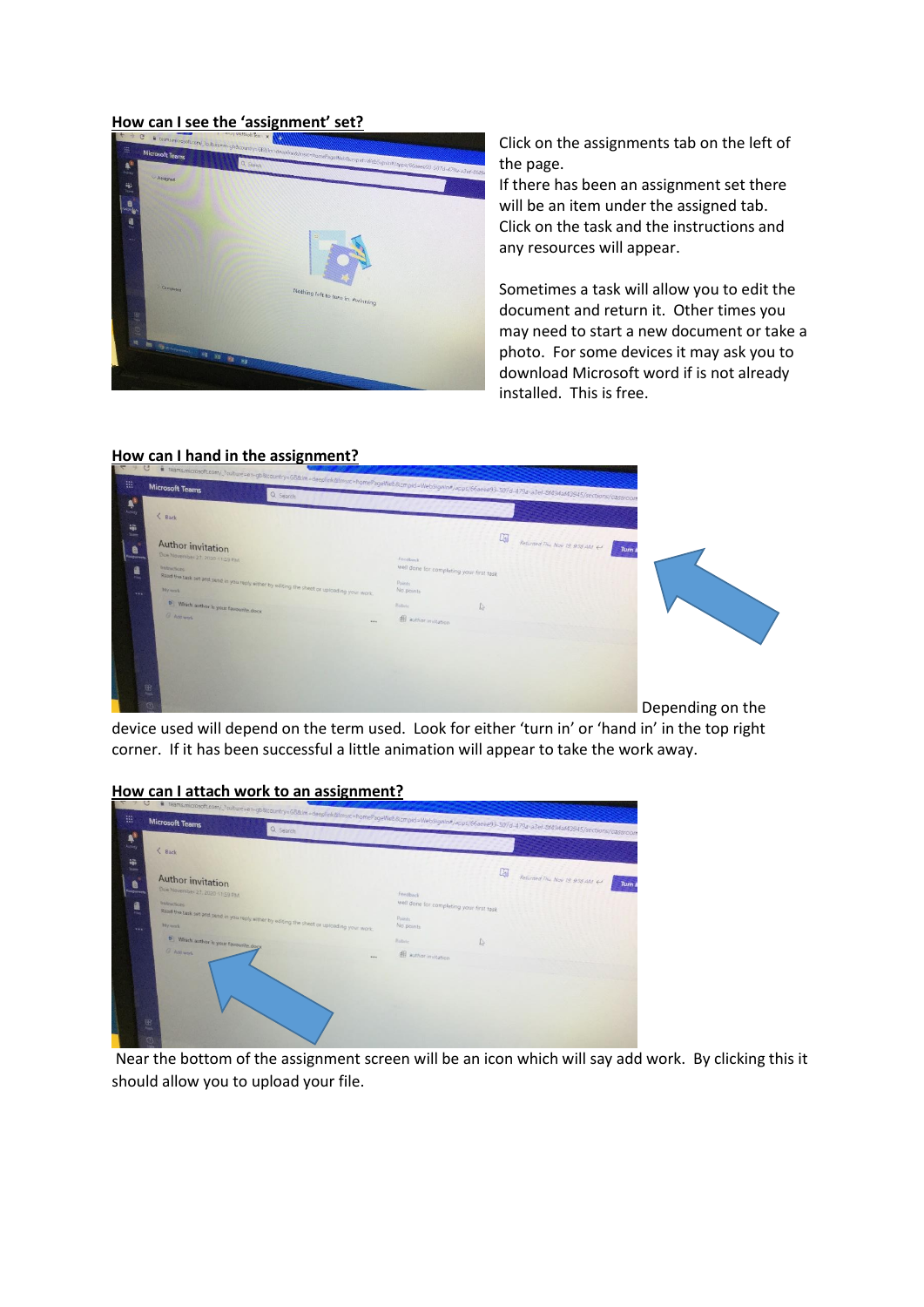#### **How can I see the 'assignment' set?**



Click on the assignments tab on the left of the page.

If there has been an assignment set there will be an item under the assigned tab. Click on the task and the instructions and any resources will appear.

Sometimes a task will allow you to edit the document and return it. Other times you may need to start a new document or take a photo. For some devices it may ask you to download Microsoft word if is not already installed. This is free.

#### **How can I hand in the assignment?**



device used will depend on the term used. Look for either 'turn in' or 'hand in' in the top right corner. If it has been successful a little animation will appear to take the work away.

#### **How can I attach work to an assignment?**

| <b>Microsoft Teams</b>                                                   | all control in the control of the subscript of the septimizations re-homePageWeb&cmpid=WebSignin#/apps/66aee93-507d-479a-a3er-8f494af43945/sections/classroom |                                                      |              |                              |
|--------------------------------------------------------------------------|---------------------------------------------------------------------------------------------------------------------------------------------------------------|------------------------------------------------------|--------------|------------------------------|
| $&$ Back                                                                 |                                                                                                                                                               |                                                      |              |                              |
| <b>Teams</b><br>Author invitation<br>e                                   |                                                                                                                                                               |                                                      | 国            | Returned Thu Nov 19 956 AM < |
| Due November 27, 2020 11:59 PM<br><b>Isolonment</b><br>Instructions<br>鳳 |                                                                                                                                                               | Feedback<br>well done for completing your first task |              |                              |
| <b>VAN</b>                                                               | Read the task set and send in you reply either by editing the sheet or uploading your work.                                                                   | Points<br>No points                                  |              |                              |
| b Which author is your favourite.docx                                    |                                                                                                                                                               | <b>Butlete</b>                                       | $\mathbb{I}$ |                              |
| <b>G</b> Add work                                                        | $\cdots$                                                                                                                                                      | di author invitation                                 |              |                              |
|                                                                          |                                                                                                                                                               |                                                      |              |                              |

Near the bottom of the assignment screen will be an icon which will say add work. By clicking this it should allow you to upload your file.